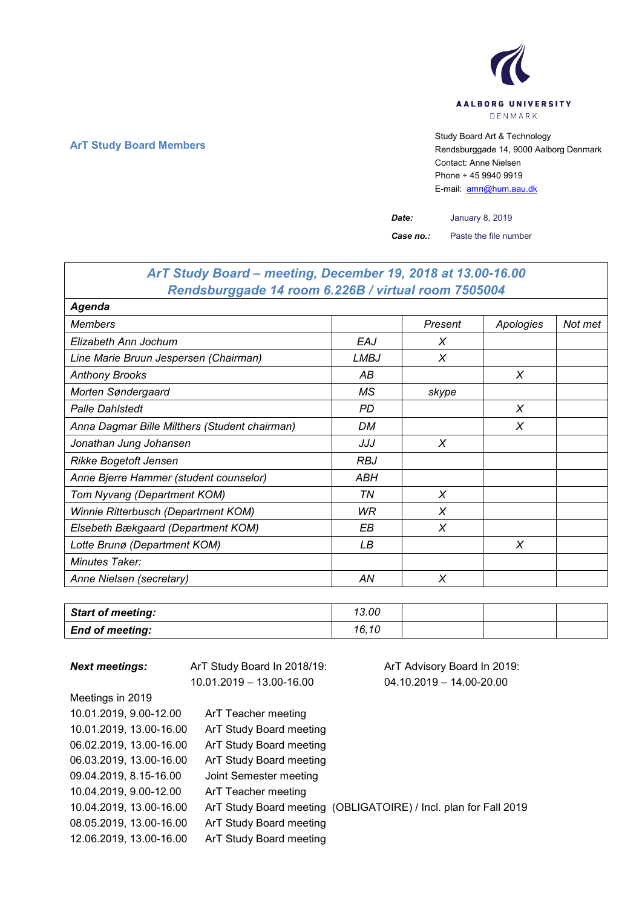

# **ArT Study Board Members** Study Board Art & Technology **ArT Study Board Art & Technology** Rendsburggade 14, 9000 Aalborg Denmark Contact: Anne Nielsen Phone + 45 9940 9919 E-mail: [amn@hum.aau.dk](mailto:amn@hum.aau.dk)

*Date:* January 8, 2019

*Case no.:* Paste the file number

| ArT Study Board - meeting, December 19, 2018 at 13.00-16.00 |             |          |           |         |
|-------------------------------------------------------------|-------------|----------|-----------|---------|
| Rendsburggade 14 room 6.226B / virtual room 7505004         |             |          |           |         |
| Agenda                                                      |             |          |           |         |
| <b>Members</b>                                              |             | Present  | Apologies | Not met |
| Elizabeth Ann Jochum                                        | EAJ         | X        |           |         |
| Line Marie Bruun Jespersen (Chairman)                       | <b>LMBJ</b> | X        |           |         |
| <b>Anthony Brooks</b>                                       | АB          |          | X         |         |
| Morten Søndergaard                                          | МS          | skype    |           |         |
| <b>Palle Dahlstedt</b>                                      | PD          |          | X         |         |
| Anna Dagmar Bille Milthers (Student chairman)               | DM          |          | X         |         |
| Jonathan Jung Johansen                                      | JJJ         | X        |           |         |
| <b>Rikke Bogetoft Jensen</b>                                | <b>RBJ</b>  |          |           |         |
| Anne Bjerre Hammer (student counselor)                      | ABH         |          |           |         |
| Tom Nyvang (Department KOM)                                 | ΤN          | X        |           |         |
| Winnie Ritterbusch (Department KOM)                         | WR          | X        |           |         |
| Elsebeth Bækgaard (Department KOM)                          | ΕB          | $\times$ |           |         |
| Lotte Brunø (Department KOM)                                | LB          |          | X         |         |
| Minutes Taker:                                              |             |          |           |         |
| Anne Nielsen (secretary)                                    | AN          | X        |           |         |

| <b>Start of meeting:</b> | 13.00 |  |  |
|--------------------------|-------|--|--|
| <b>End of meeting:</b>   | 16.10 |  |  |

| <b>Next meetings:</b>   | ArT Study Board In 2018/19: | ArT Advisory Board In 2019:                                      |
|-------------------------|-----------------------------|------------------------------------------------------------------|
|                         | 10.01.2019 - 13.00-16.00    | $04.10.2019 - 14.00 - 20.00$                                     |
| Meetings in 2019        |                             |                                                                  |
| 10.01.2019, 9.00-12.00  | ArT Teacher meeting         |                                                                  |
| 10.01.2019, 13.00-16.00 | ArT Study Board meeting     |                                                                  |
| 06.02.2019, 13.00-16.00 | ArT Study Board meeting     |                                                                  |
| 06.03.2019, 13.00-16.00 | ArT Study Board meeting     |                                                                  |
| 09.04.2019, 8.15-16.00  | Joint Semester meeting      |                                                                  |
| 10.04.2019, 9.00-12.00  | ArT Teacher meeting         |                                                                  |
| 10.04.2019, 13.00-16.00 |                             | ArT Study Board meeting (OBLIGATOIRE) / Incl. plan for Fall 2019 |
| 08.05.2019, 13.00-16.00 | ArT Study Board meeting     |                                                                  |
| 12.06.2019, 13.00-16.00 | ArT Study Board meeting     |                                                                  |

 $\overline{\phantom{a}}$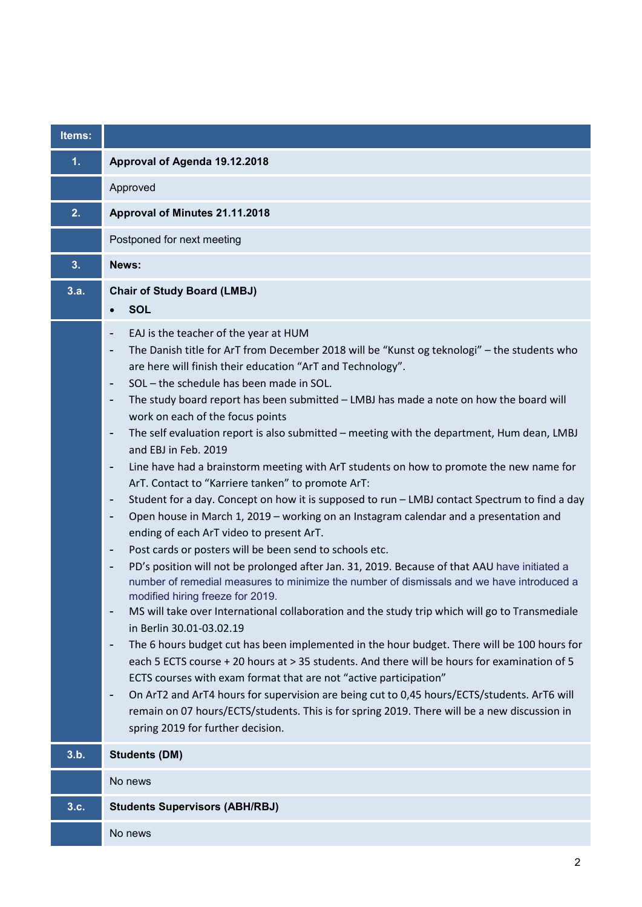| Items: |                                                                                                                                                                                                                                                                                                                                                                                                                                                                                                                                                                                                                                                                                                                                                                                                                                                                                                                                                                                                                                                                                                                                                                                                                                                                                                                                                                                                                                                                                                                                                                                                                                                                                                                                                                                                                                                                                                                                                                                         |
|--------|-----------------------------------------------------------------------------------------------------------------------------------------------------------------------------------------------------------------------------------------------------------------------------------------------------------------------------------------------------------------------------------------------------------------------------------------------------------------------------------------------------------------------------------------------------------------------------------------------------------------------------------------------------------------------------------------------------------------------------------------------------------------------------------------------------------------------------------------------------------------------------------------------------------------------------------------------------------------------------------------------------------------------------------------------------------------------------------------------------------------------------------------------------------------------------------------------------------------------------------------------------------------------------------------------------------------------------------------------------------------------------------------------------------------------------------------------------------------------------------------------------------------------------------------------------------------------------------------------------------------------------------------------------------------------------------------------------------------------------------------------------------------------------------------------------------------------------------------------------------------------------------------------------------------------------------------------------------------------------------------|
| 1.     | Approval of Agenda 19.12.2018                                                                                                                                                                                                                                                                                                                                                                                                                                                                                                                                                                                                                                                                                                                                                                                                                                                                                                                                                                                                                                                                                                                                                                                                                                                                                                                                                                                                                                                                                                                                                                                                                                                                                                                                                                                                                                                                                                                                                           |
|        | Approved                                                                                                                                                                                                                                                                                                                                                                                                                                                                                                                                                                                                                                                                                                                                                                                                                                                                                                                                                                                                                                                                                                                                                                                                                                                                                                                                                                                                                                                                                                                                                                                                                                                                                                                                                                                                                                                                                                                                                                                |
| 2.     | Approval of Minutes 21.11.2018                                                                                                                                                                                                                                                                                                                                                                                                                                                                                                                                                                                                                                                                                                                                                                                                                                                                                                                                                                                                                                                                                                                                                                                                                                                                                                                                                                                                                                                                                                                                                                                                                                                                                                                                                                                                                                                                                                                                                          |
|        | Postponed for next meeting                                                                                                                                                                                                                                                                                                                                                                                                                                                                                                                                                                                                                                                                                                                                                                                                                                                                                                                                                                                                                                                                                                                                                                                                                                                                                                                                                                                                                                                                                                                                                                                                                                                                                                                                                                                                                                                                                                                                                              |
| 3.     | News:                                                                                                                                                                                                                                                                                                                                                                                                                                                                                                                                                                                                                                                                                                                                                                                                                                                                                                                                                                                                                                                                                                                                                                                                                                                                                                                                                                                                                                                                                                                                                                                                                                                                                                                                                                                                                                                                                                                                                                                   |
| 3.a.   | <b>Chair of Study Board (LMBJ)</b><br><b>SOL</b><br>$\bullet$                                                                                                                                                                                                                                                                                                                                                                                                                                                                                                                                                                                                                                                                                                                                                                                                                                                                                                                                                                                                                                                                                                                                                                                                                                                                                                                                                                                                                                                                                                                                                                                                                                                                                                                                                                                                                                                                                                                           |
|        | EAJ is the teacher of the year at HUM<br>-<br>The Danish title for ArT from December 2018 will be "Kunst og teknologi" - the students who<br>-<br>are here will finish their education "ArT and Technology".<br>SOL - the schedule has been made in SOL.<br>$\overline{\phantom{a}}$<br>The study board report has been submitted - LMBJ has made a note on how the board will<br>-<br>work on each of the focus points<br>The self evaluation report is also submitted - meeting with the department, Hum dean, LMBJ<br>$\qquad \qquad \blacksquare$<br>and EBJ in Feb. 2019<br>Line have had a brainstorm meeting with ArT students on how to promote the new name for<br>$\overline{\phantom{a}}$<br>ArT. Contact to "Karriere tanken" to promote ArT:<br>Student for a day. Concept on how it is supposed to run - LMBJ contact Spectrum to find a day<br>-<br>Open house in March 1, 2019 - working on an Instagram calendar and a presentation and<br>-<br>ending of each ArT video to present ArT.<br>Post cards or posters will be been send to schools etc.<br>-<br>PD's position will not be prolonged after Jan. 31, 2019. Because of that AAU have initiated a<br>-<br>number of remedial measures to minimize the number of dismissals and we have introduced a<br>modified hiring freeze for 2019.<br>MS will take over International collaboration and the study trip which will go to Transmediale<br>in Berlin 30.01-03.02.19<br>The 6 hours budget cut has been implemented in the hour budget. There will be 100 hours for<br>-<br>each 5 ECTS course + 20 hours at > 35 students. And there will be hours for examination of 5<br>ECTS courses with exam format that are not "active participation"<br>On ArT2 and ArT4 hours for supervision are being cut to 0,45 hours/ECTS/students. ArT6 will<br>$\overline{\phantom{0}}$<br>remain on 07 hours/ECTS/students. This is for spring 2019. There will be a new discussion in<br>spring 2019 for further decision. |
| 3.b.   | <b>Students (DM)</b>                                                                                                                                                                                                                                                                                                                                                                                                                                                                                                                                                                                                                                                                                                                                                                                                                                                                                                                                                                                                                                                                                                                                                                                                                                                                                                                                                                                                                                                                                                                                                                                                                                                                                                                                                                                                                                                                                                                                                                    |
|        | No news                                                                                                                                                                                                                                                                                                                                                                                                                                                                                                                                                                                                                                                                                                                                                                                                                                                                                                                                                                                                                                                                                                                                                                                                                                                                                                                                                                                                                                                                                                                                                                                                                                                                                                                                                                                                                                                                                                                                                                                 |
| 3.c.   | <b>Students Supervisors (ABH/RBJ)</b>                                                                                                                                                                                                                                                                                                                                                                                                                                                                                                                                                                                                                                                                                                                                                                                                                                                                                                                                                                                                                                                                                                                                                                                                                                                                                                                                                                                                                                                                                                                                                                                                                                                                                                                                                                                                                                                                                                                                                   |
|        | No news                                                                                                                                                                                                                                                                                                                                                                                                                                                                                                                                                                                                                                                                                                                                                                                                                                                                                                                                                                                                                                                                                                                                                                                                                                                                                                                                                                                                                                                                                                                                                                                                                                                                                                                                                                                                                                                                                                                                                                                 |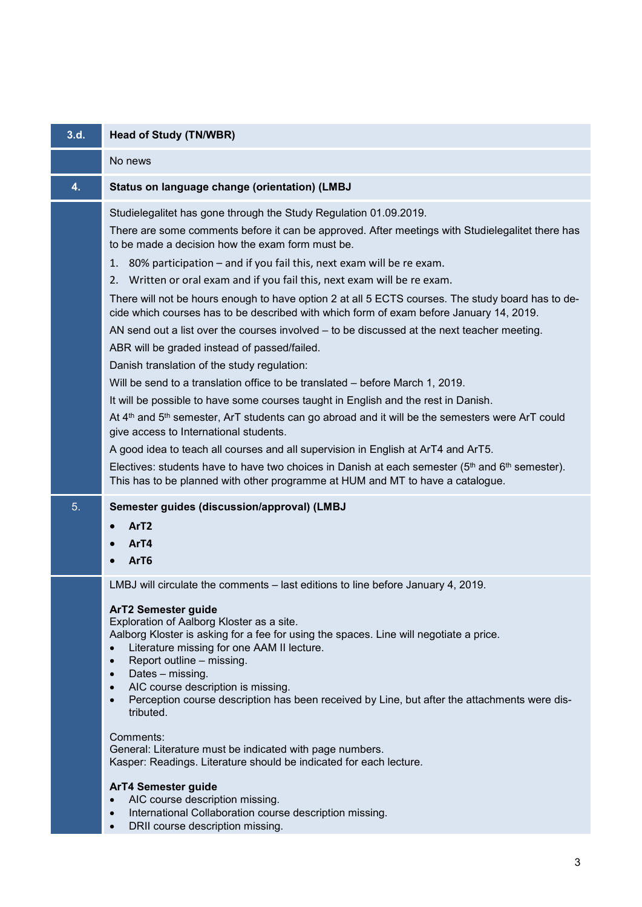| 3.d. | <b>Head of Study (TN/WBR)</b>                                                                                                                                                                                                                                                                                                                                                                                                                                                                                                                                                                                                                                                                                                                                                                                                                                                                                                                            |
|------|----------------------------------------------------------------------------------------------------------------------------------------------------------------------------------------------------------------------------------------------------------------------------------------------------------------------------------------------------------------------------------------------------------------------------------------------------------------------------------------------------------------------------------------------------------------------------------------------------------------------------------------------------------------------------------------------------------------------------------------------------------------------------------------------------------------------------------------------------------------------------------------------------------------------------------------------------------|
|      | No news                                                                                                                                                                                                                                                                                                                                                                                                                                                                                                                                                                                                                                                                                                                                                                                                                                                                                                                                                  |
| 4.   | Status on language change (orientation) (LMBJ                                                                                                                                                                                                                                                                                                                                                                                                                                                                                                                                                                                                                                                                                                                                                                                                                                                                                                            |
|      | Studielegalitet has gone through the Study Regulation 01.09.2019.<br>There are some comments before it can be approved. After meetings with Studielegalitet there has<br>to be made a decision how the exam form must be.<br>80% participation – and if you fail this, next exam will be re exam.<br>1.<br>2. Written or oral exam and if you fail this, next exam will be re exam.<br>There will not be hours enough to have option 2 at all 5 ECTS courses. The study board has to de-<br>cide which courses has to be described with which form of exam before January 14, 2019.<br>AN send out a list over the courses involved – to be discussed at the next teacher meeting.<br>ABR will be graded instead of passed/failed.<br>Danish translation of the study regulation:<br>Will be send to a translation office to be translated – before March 1, 2019.<br>It will be possible to have some courses taught in English and the rest in Danish. |
|      | At 4 <sup>th</sup> and 5 <sup>th</sup> semester, ArT students can go abroad and it will be the semesters were ArT could<br>give access to International students.<br>A good idea to teach all courses and all supervision in English at ArT4 and ArT5.<br>Electives: students have to have two choices in Danish at each semester ( $5th$ and $6th$ semester).<br>This has to be planned with other programme at HUM and MT to have a catalogue.                                                                                                                                                                                                                                                                                                                                                                                                                                                                                                         |
| 5.   | Semester guides (discussion/approval) (LMBJ<br>ArT <sub>2</sub><br>ArT4<br>ArT6                                                                                                                                                                                                                                                                                                                                                                                                                                                                                                                                                                                                                                                                                                                                                                                                                                                                          |
|      | LMBJ will circulate the comments – last editions to line before January 4, 2019.<br><b>ArT2 Semester guide</b><br>Exploration of Aalborg Kloster as a site.<br>Aalborg Kloster is asking for a fee for using the spaces. Line will negotiate a price.<br>Literature missing for one AAM II lecture.<br>$\bullet$<br>Report outline - missing.<br>$\bullet$<br>Dates - missing.<br>$\bullet$<br>AIC course description is missing.<br>$\bullet$<br>Perception course description has been received by Line, but after the attachments were dis-<br>$\bullet$<br>tributed.                                                                                                                                                                                                                                                                                                                                                                                 |
|      | Comments:<br>General: Literature must be indicated with page numbers.<br>Kasper: Readings. Literature should be indicated for each lecture.                                                                                                                                                                                                                                                                                                                                                                                                                                                                                                                                                                                                                                                                                                                                                                                                              |
|      | ArT4 Semester guide<br>AIC course description missing.<br>$\bullet$<br>International Collaboration course description missing.<br>$\bullet$                                                                                                                                                                                                                                                                                                                                                                                                                                                                                                                                                                                                                                                                                                                                                                                                              |

• DRII course description missing.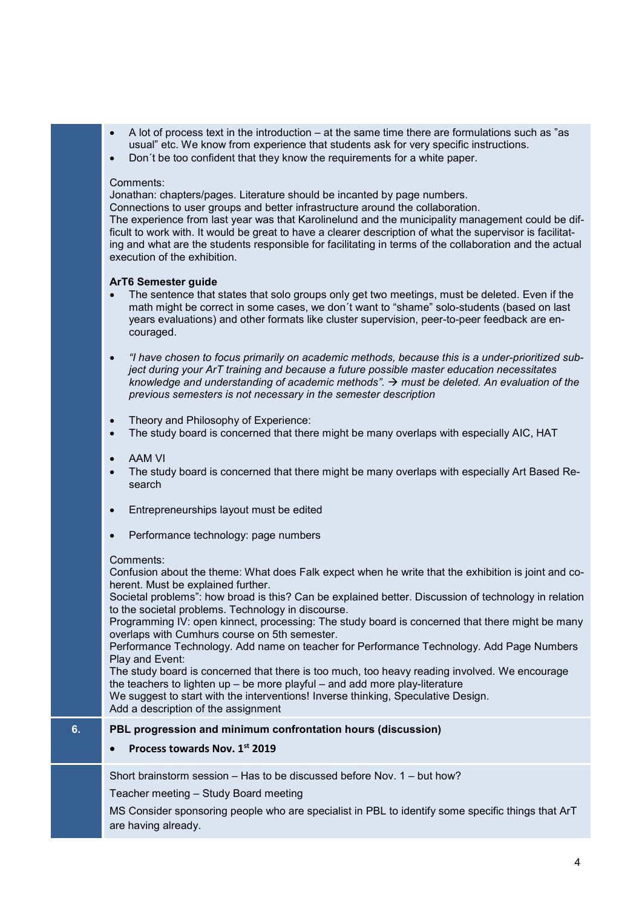- A lot of process text in the introduction at the same time there are formulations such as "as usual" etc. We know from experience that students ask for very specific instructions.
- Don´t be too confident that they know the requirements for a white paper.

#### Comments:

Jonathan: chapters/pages. Literature should be incanted by page numbers.

Connections to user groups and better infrastructure around the collaboration.

The experience from last year was that Karolinelund and the municipality management could be difficult to work with. It would be great to have a clearer description of what the supervisor is facilitating and what are the students responsible for facilitating in terms of the collaboration and the actual execution of the exhibition.

## **ArT6 Semester guide**

- The sentence that states that solo groups only get two meetings, must be deleted. Even if the math might be correct in some cases, we don´t want to "shame" solo-students (based on last years evaluations) and other formats like cluster supervision, peer-to-peer feedback are encouraged.
- *"I have chosen to focus primarily on academic methods, because this is a under-prioritized subject during your ArT training and because a future possible master education necessitates knowledge and understanding of academic methods". must be deleted. An evaluation of the previous semesters is not necessary in the semester description*
- Theory and Philosophy of Experience:
- The study board is concerned that there might be many overlaps with especially AIC, HAT
- AAM VI
- The study board is concerned that there might be many overlaps with especially Art Based Research
- Entrepreneurships layout must be edited
- Performance technology: page numbers

#### Comments:

Confusion about the theme: What does Falk expect when he write that the exhibition is joint and coherent. Must be explained further.

Societal problems": how broad is this? Can be explained better. Discussion of technology in relation to the societal problems. Technology in discourse.

Programming IV: open kinnect, processing: The study board is concerned that there might be many overlaps with Cumhurs course on 5th semester.

Performance Technology. Add name on teacher for Performance Technology. Add Page Numbers Play and Event:

The study board is concerned that there is too much, too heavy reading involved. We encourage the teachers to lighten up – be more playful – and add more play-literature

We suggest to start with the interventions! Inverse thinking, Speculative Design.

Add a description of the assignment

#### **6. PBL progression and minimum confrontation hours (discussion)**

## • **Process towards Nov. 1st 2019**

Short brainstorm session – Has to be discussed before Nov. 1 – but how?

Teacher meeting – Study Board meeting

MS Consider sponsoring people who are specialist in PBL to identify some specific things that ArT are having already.